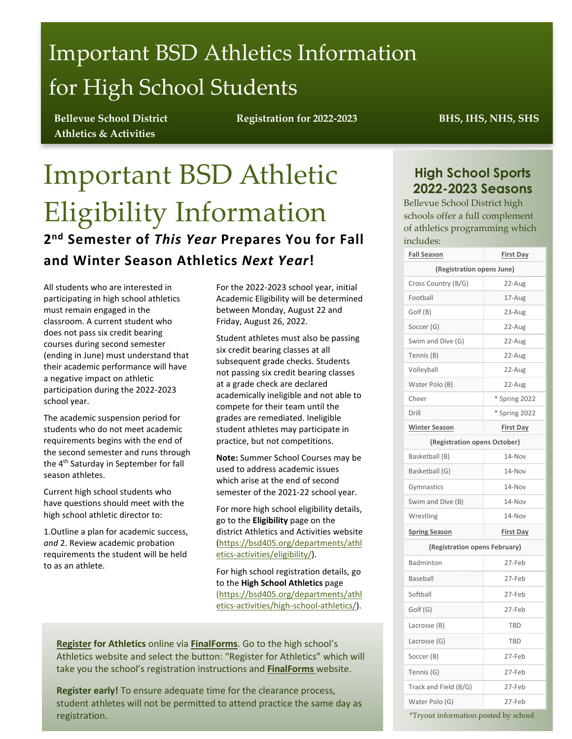# Important BSD Athletics Information for High School Students

**Bellevue School District Athletics & Activities**

**Registration for 2022-2023 BHS, IHS, NHS, SHS**

## Important BSD Athletic Eligibility Information **2nd Semester of** *This Year* **Prepares You for Fall and Winter Season Athletics** *Next Year***!**

All students who are interested in participating in high school athletics must remain engaged in the classroom. A current student who does not pass six credit bearing courses during second semester (ending in June) must understand that their academic performance will have a negative impact on athletic participation during the 2022-2023 school year.

The academic suspension period for students who do not meet academic requirements begins with the end of the second semester and runs through the 4<sup>th</sup> Saturday in September for fall season athletes.

Current high school students who have questions should meet with the high school athletic director to:

1.Outline a plan for academic success, *and* 2. Review academic probation requirements the student will be held to as an athlete.

For the 2022-2023 school year, initial Academic Eligibility will be determined between Monday, August 22 and Friday, August 26, 2022.

Student athletes must also be passing six credit bearing classes at all subsequent grade checks. Students not passing six credit bearing classes at a grade check are declared academically ineligible and not able to compete for their team until the grades are remediated. Ineligible student athletes may participate in practice, but not competitions.

**Note:** Summer School Courses may be used to address academic issues which arise at the end of second semester of the 2021-22 school year.

For more high school eligibility details, go to the **Eligibility** page on the district Athletics and Activities website [\(https://bsd405.org/departments/athl](https://bsd405.org/departments/athletics-activities/eligibility/) [etics-activities/eligibility/\)](https://bsd405.org/departments/athletics-activities/eligibility/).

For high school registration details, go to the **High School Athletics** page [\(https://bsd405.org/departments/athl](https://bsd405.org/departments/athletics-activities/high-school-athletics/) [etics-activities/high-school-athletics/\)](https://bsd405.org/departments/athletics-activities/high-school-athletics/).

**[Register](https://bellevue-wa.finalforms.com/) for Athletics** online via **[FinalForms](https://bellevue-wa.finalforms.com/)**. Go to the high school's Athletics website and select the button: "Register for Athletics" which will take you the school's registration instructions and **[FinalForms](https://bellevue-wa.finalforms.com/)** website.

**Register early!** To ensure adequate time for the clearance process, student athletes will not be permitted to attend practice the same day as registration.

### **High School Sports 2022-2023 Seasons**

Bellevue School District high schools offer a full complement of athletics programming which includes:

| <b>Fall Season</b>                   | <b>First Day</b> |  |  |
|--------------------------------------|------------------|--|--|
| (Registration opens June)            |                  |  |  |
| Cross Country (B/G)                  | 22-Aug           |  |  |
| Football                             | 17-Aug           |  |  |
| Golf (B)                             | 23-Aug           |  |  |
| Soccer (G)                           | 22-Aug           |  |  |
| Swim and Dive (G)                    | 22-Aug           |  |  |
| Tennis (B)                           | 22-Aug           |  |  |
| Volleyball                           | 22-Aug           |  |  |
| Water Polo (B)                       | 22-Aug           |  |  |
| Cheer                                | * Spring 2022    |  |  |
| Drill                                | * Spring 2022    |  |  |
| <b>Winter Season</b>                 | <b>First Day</b> |  |  |
| (Registration opens October)         |                  |  |  |
| Basketball (B)                       | 14-Nov           |  |  |
| Basketball (G)                       | 14-Nov           |  |  |
| Gymnastics                           | 14-Nov           |  |  |
| Swim and Dive (B)                    | 14-Nov           |  |  |
| Wrestling                            | 14-Nov           |  |  |
| <b>Spring Season</b>                 | <b>First Day</b> |  |  |
| (Registration opens February)        |                  |  |  |
| Badminton                            | 27-Feb           |  |  |
| Baseball                             | 27-Feb           |  |  |
| Softball                             | 27-Feb           |  |  |
| Golf (G)                             | 27-Feb           |  |  |
| Lacrosse (B)                         | <b>TBD</b>       |  |  |
| Lacrosse (G)                         | TBD              |  |  |
| Soccer (B)                           | 27-Feb           |  |  |
| Tennis (G)                           | 27-Feb           |  |  |
| Track and Field (B/G)                | 27-Feb           |  |  |
| Water Polo (G)                       | 27-Feb           |  |  |
| *Tryout information posted by school |                  |  |  |